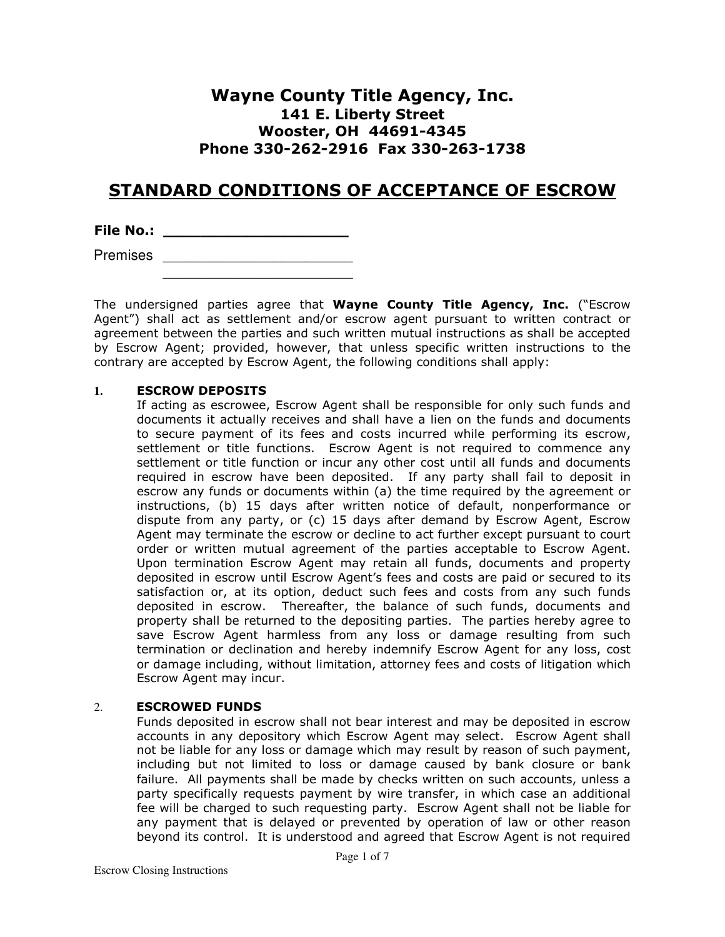# Wayne County Title Agency, Inc. 141 E. Liberty Street Wooster, OH 44691-4345 Phone 330-262-2916 Fax 330-263-1738

# STANDARD CONDITIONS OF ACCEPTANCE OF ESCROW

File No.: \_\_\_\_\_\_\_\_\_\_\_\_\_\_\_\_\_\_\_\_

Premises **Executive** 2014 **Premises**  $\frac{1}{2}$  ,  $\frac{1}{2}$  ,  $\frac{1}{2}$  ,  $\frac{1}{2}$  ,  $\frac{1}{2}$  ,  $\frac{1}{2}$  ,  $\frac{1}{2}$  ,  $\frac{1}{2}$  ,  $\frac{1}{2}$  ,  $\frac{1}{2}$  ,  $\frac{1}{2}$  ,  $\frac{1}{2}$  ,  $\frac{1}{2}$  ,  $\frac{1}{2}$  ,  $\frac{1}{2}$  ,  $\frac{1}{2}$  ,  $\frac{1}{2}$  ,  $\frac{1}{2}$  ,  $\frac{1$ 

The undersigned parties agree that Wayne County Title Agency, Inc. ("Escrow Agent") shall act as settlement and/or escrow agent pursuant to written contract or agreement between the parties and such written mutual instructions as shall be accepted by Escrow Agent; provided, however, that unless specific written instructions to the contrary are accepted by Escrow Agent, the following conditions shall apply:

## **1.** ESCROW DEPOSITS

 If acting as escrowee, Escrow Agent shall be responsible for only such funds and documents it actually receives and shall have a lien on the funds and documents to secure payment of its fees and costs incurred while performing its escrow, settlement or title functions. Escrow Agent is not required to commence any settlement or title function or incur any other cost until all funds and documents required in escrow have been deposited. If any party shall fail to deposit in escrow any funds or documents within (a) the time required by the agreement or instructions, (b) 15 days after written notice of default, nonperformance or dispute from any party, or (c) 15 days after demand by Escrow Agent, Escrow Agent may terminate the escrow or decline to act further except pursuant to court order or written mutual agreement of the parties acceptable to Escrow Agent. Upon termination Escrow Agent may retain all funds, documents and property deposited in escrow until Escrow Agent's fees and costs are paid or secured to its satisfaction or, at its option, deduct such fees and costs from any such funds deposited in escrow. Thereafter, the balance of such funds, documents and property shall be returned to the depositing parties. The parties hereby agree to save Escrow Agent harmless from any loss or damage resulting from such termination or declination and hereby indemnify Escrow Agent for any loss, cost or damage including, without limitation, attorney fees and costs of litigation which Escrow Agent may incur.

## 2. ESCROWED FUNDS

 Funds deposited in escrow shall not bear interest and may be deposited in escrow accounts in any depository which Escrow Agent may select. Escrow Agent shall not be liable for any loss or damage which may result by reason of such payment, including but not limited to loss or damage caused by bank closure or bank failure. All payments shall be made by checks written on such accounts, unless a party specifically requests payment by wire transfer, in which case an additional fee will be charged to such requesting party. Escrow Agent shall not be liable for any payment that is delayed or prevented by operation of law or other reason beyond its control. It is understood and agreed that Escrow Agent is not required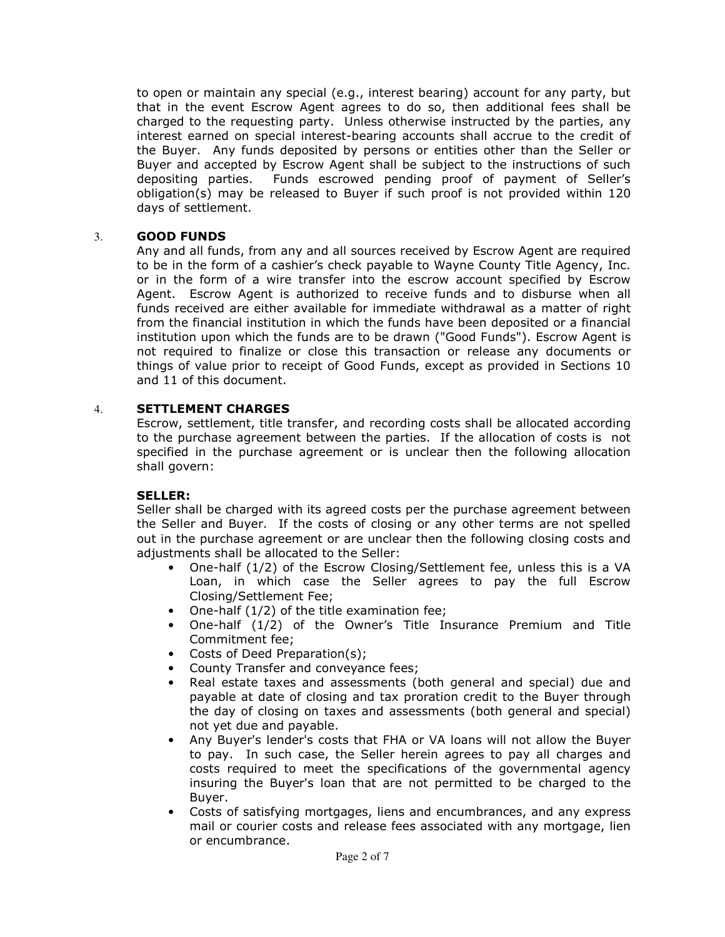to open or maintain any special (e.g., interest bearing) account for any party, but that in the event Escrow Agent agrees to do so, then additional fees shall be charged to the requesting party. Unless otherwise instructed by the parties, any interest earned on special interest-bearing accounts shall accrue to the credit of the Buyer. Any funds deposited by persons or entities other than the Seller or Buyer and accepted by Escrow Agent shall be subject to the instructions of such depositing parties. Funds escrowed pending proof of payment of Seller's obligation(s) may be released to Buyer if such proof is not provided within 120 days of settlement.

## 3. GOOD FUNDS

Any and all funds, from any and all sources received by Escrow Agent are required to be in the form of a cashier's check payable to Wayne County Title Agency, Inc. or in the form of a wire transfer into the escrow account specified by Escrow Agent. Escrow Agent is authorized to receive funds and to disburse when all funds received are either available for immediate withdrawal as a matter of right from the financial institution in which the funds have been deposited or a financial institution upon which the funds are to be drawn ("Good Funds"). Escrow Agent is not required to finalize or close this transaction or release any documents or things of value prior to receipt of Good Funds, except as provided in Sections 10 and 11 of this document.

## 4. SETTLEMENT CHARGES

 Escrow, settlement, title transfer, and recording costs shall be allocated according to the purchase agreement between the parties. If the allocation of costs is not specified in the purchase agreement or is unclear then the following allocation shall govern:

## SELLER:

 Seller shall be charged with its agreed costs per the purchase agreement between the Seller and Buyer. If the costs of closing or any other terms are not spelled out in the purchase agreement or are unclear then the following closing costs and adjustments shall be allocated to the Seller:

- One-half (1/2) of the Escrow Closing/Settlement fee, unless this is a VA Loan, in which case the Seller agrees to pay the full Escrow Closing/Settlement Fee;
- One-half (1/2) of the title examination fee;
- One-half (1/2) of the Owner's Title Insurance Premium and Title Commitment fee;
- Costs of Deed Preparation(s);
- County Transfer and conveyance fees;
- Real estate taxes and assessments (both general and special) due and payable at date of closing and tax proration credit to the Buyer through the day of closing on taxes and assessments (both general and special) not yet due and payable.
- Any Buyer's lender's costs that FHA or VA loans will not allow the Buyer to pay. In such case, the Seller herein agrees to pay all charges and costs required to meet the specifications of the governmental agency insuring the Buyer's loan that are not permitted to be charged to the Buyer.
- Costs of satisfying mortgages, liens and encumbrances, and any express mail or courier costs and release fees associated with any mortgage, lien or encumbrance.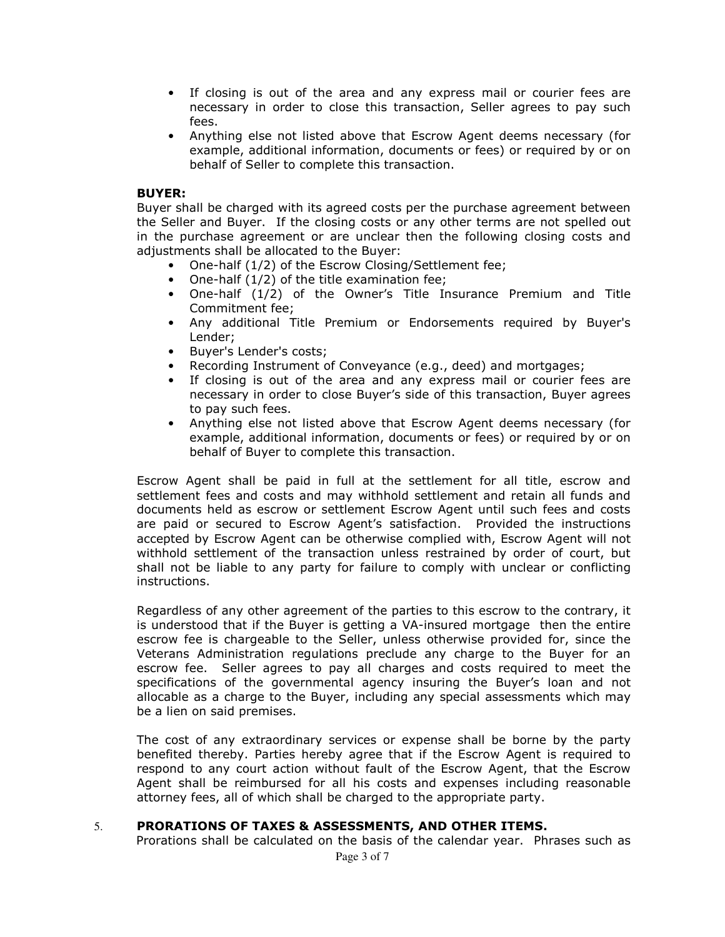- If closing is out of the area and any express mail or courier fees are necessary in order to close this transaction, Seller agrees to pay such fees.
- Anything else not listed above that Escrow Agent deems necessary (for example, additional information, documents or fees) or required by or on behalf of Seller to complete this transaction.

### BUYER:

 Buyer shall be charged with its agreed costs per the purchase agreement between the Seller and Buyer. If the closing costs or any other terms are not spelled out in the purchase agreement or are unclear then the following closing costs and adjustments shall be allocated to the Buyer:

- One-half (1/2) of the Escrow Closing/Settlement fee;
- One-half (1/2) of the title examination fee;
- One-half (1/2) of the Owner's Title Insurance Premium and Title Commitment fee;
- Any additional Title Premium or Endorsements required by Buyer's Lender;
- Buyer's Lender's costs;
- Recording Instrument of Conveyance (e.g., deed) and mortgages;
- If closing is out of the area and any express mail or courier fees are necessary in order to close Buyer's side of this transaction, Buyer agrees to pay such fees.
- Anything else not listed above that Escrow Agent deems necessary (for example, additional information, documents or fees) or required by or on behalf of Buyer to complete this transaction.

 Escrow Agent shall be paid in full at the settlement for all title, escrow and settlement fees and costs and may withhold settlement and retain all funds and documents held as escrow or settlement Escrow Agent until such fees and costs are paid or secured to Escrow Agent's satisfaction. Provided the instructions accepted by Escrow Agent can be otherwise complied with, Escrow Agent will not withhold settlement of the transaction unless restrained by order of court, but shall not be liable to any party for failure to comply with unclear or conflicting instructions.

 Regardless of any other agreement of the parties to this escrow to the contrary, it is understood that if the Buyer is getting a VA-insured mortgage then the entire escrow fee is chargeable to the Seller, unless otherwise provided for, since the Veterans Administration regulations preclude any charge to the Buyer for an escrow fee. Seller agrees to pay all charges and costs required to meet the specifications of the governmental agency insuring the Buyer's loan and not allocable as a charge to the Buyer, including any special assessments which may be a lien on said premises.

 The cost of any extraordinary services or expense shall be borne by the party benefited thereby. Parties hereby agree that if the Escrow Agent is required to respond to any court action without fault of the Escrow Agent, that the Escrow Agent shall be reimbursed for all his costs and expenses including reasonable attorney fees, all of which shall be charged to the appropriate party.

## 5. PRORATIONS OF TAXES & ASSESSMENTS, AND OTHER ITEMS.

Prorations shall be calculated on the basis of the calendar year. Phrases such as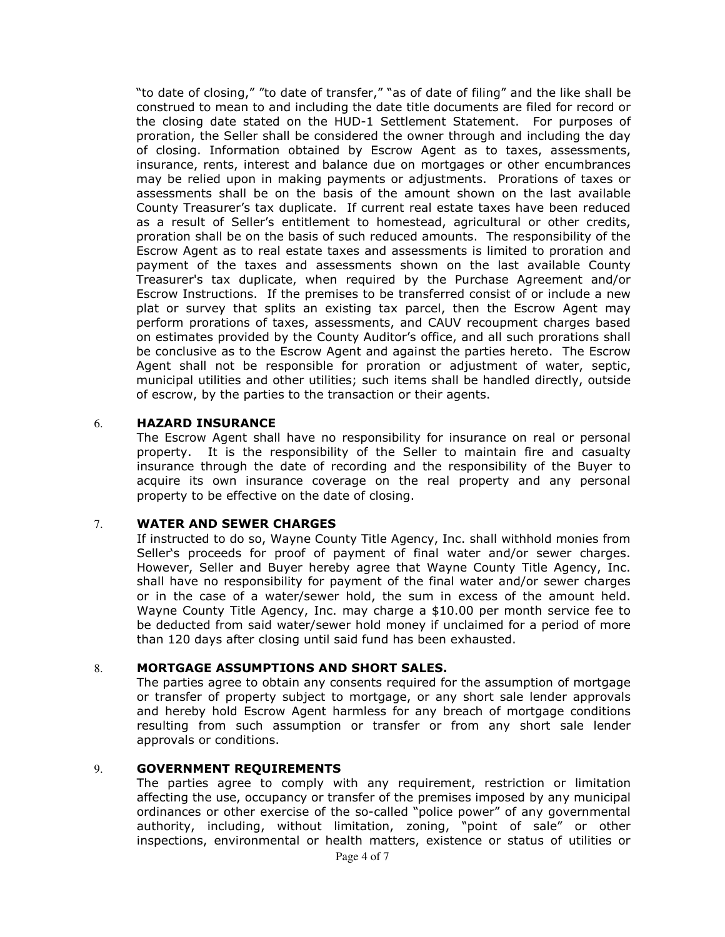"to date of closing," "to date of transfer," "as of date of filing" and the like shall be construed to mean to and including the date title documents are filed for record or the closing date stated on the HUD-1 Settlement Statement. For purposes of proration, the Seller shall be considered the owner through and including the day of closing. Information obtained by Escrow Agent as to taxes, assessments, insurance, rents, interest and balance due on mortgages or other encumbrances may be relied upon in making payments or adjustments. Prorations of taxes or assessments shall be on the basis of the amount shown on the last available County Treasurer's tax duplicate. If current real estate taxes have been reduced as a result of Seller's entitlement to homestead, agricultural or other credits, proration shall be on the basis of such reduced amounts. The responsibility of the Escrow Agent as to real estate taxes and assessments is limited to proration and payment of the taxes and assessments shown on the last available County Treasurer's tax duplicate, when required by the Purchase Agreement and/or Escrow Instructions. If the premises to be transferred consist of or include a new plat or survey that splits an existing tax parcel, then the Escrow Agent may perform prorations of taxes, assessments, and CAUV recoupment charges based on estimates provided by the County Auditor's office, and all such prorations shall be conclusive as to the Escrow Agent and against the parties hereto. The Escrow Agent shall not be responsible for proration or adjustment of water, septic, municipal utilities and other utilities; such items shall be handled directly, outside of escrow, by the parties to the transaction or their agents.

#### 6. HAZARD INSURANCE

The Escrow Agent shall have no responsibility for insurance on real or personal property. It is the responsibility of the Seller to maintain fire and casualty insurance through the date of recording and the responsibility of the Buyer to acquire its own insurance coverage on the real property and any personal property to be effective on the date of closing.

## 7. WATER AND SEWER CHARGES

 If instructed to do so, Wayne County Title Agency, Inc. shall withhold monies from Seller's proceeds for proof of payment of final water and/or sewer charges. However, Seller and Buyer hereby agree that Wayne County Title Agency, Inc. shall have no responsibility for payment of the final water and/or sewer charges or in the case of a water/sewer hold, the sum in excess of the amount held. Wayne County Title Agency, Inc. may charge a \$10.00 per month service fee to be deducted from said water/sewer hold money if unclaimed for a period of more than 120 days after closing until said fund has been exhausted.

#### 8. MORTGAGE ASSUMPTIONS AND SHORT SALES.

 The parties agree to obtain any consents required for the assumption of mortgage or transfer of property subject to mortgage, or any short sale lender approvals and hereby hold Escrow Agent harmless for any breach of mortgage conditions resulting from such assumption or transfer or from any short sale lender approvals or conditions.

#### 9. GOVERNMENT REQUIREMENTS

 The parties agree to comply with any requirement, restriction or limitation affecting the use, occupancy or transfer of the premises imposed by any municipal ordinances or other exercise of the so-called "police power" of any governmental authority, including, without limitation, zoning, "point of sale" or other inspections, environmental or health matters, existence or status of utilities or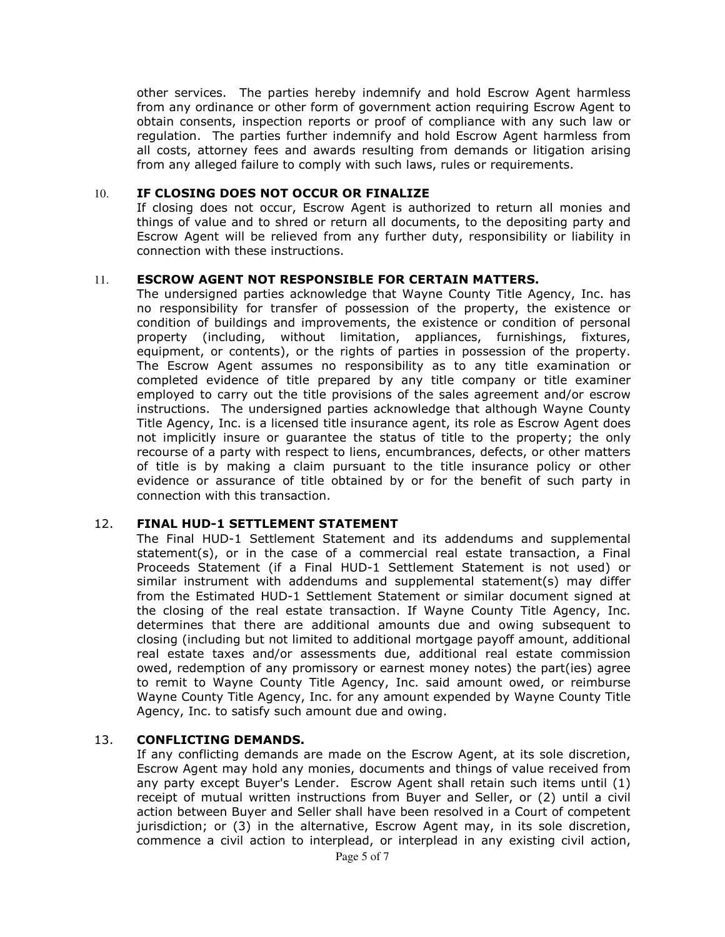other services. The parties hereby indemnify and hold Escrow Agent harmless from any ordinance or other form of government action requiring Escrow Agent to obtain consents, inspection reports or proof of compliance with any such law or regulation. The parties further indemnify and hold Escrow Agent harmless from all costs, attorney fees and awards resulting from demands or litigation arising from any alleged failure to comply with such laws, rules or requirements.

### 10. IF CLOSING DOES NOT OCCUR OR FINALIZE

If closing does not occur, Escrow Agent is authorized to return all monies and things of value and to shred or return all documents, to the depositing party and Escrow Agent will be relieved from any further duty, responsibility or liability in connection with these instructions.

## 11. ESCROW AGENT NOT RESPONSIBLE FOR CERTAIN MATTERS.

 The undersigned parties acknowledge that Wayne County Title Agency, Inc. has no responsibility for transfer of possession of the property, the existence or condition of buildings and improvements, the existence or condition of personal property (including, without limitation, appliances, furnishings, fixtures, equipment, or contents), or the rights of parties in possession of the property. The Escrow Agent assumes no responsibility as to any title examination or completed evidence of title prepared by any title company or title examiner employed to carry out the title provisions of the sales agreement and/or escrow instructions. The undersigned parties acknowledge that although Wayne County Title Agency, Inc. is a licensed title insurance agent, its role as Escrow Agent does not implicitly insure or guarantee the status of title to the property; the only recourse of a party with respect to liens, encumbrances, defects, or other matters of title is by making a claim pursuant to the title insurance policy or other evidence or assurance of title obtained by or for the benefit of such party in connection with this transaction.

## 12. FINAL HUD-1 SETTLEMENT STATEMENT

 The Final HUD-1 Settlement Statement and its addendums and supplemental statement(s), or in the case of a commercial real estate transaction, a Final Proceeds Statement (if a Final HUD-1 Settlement Statement is not used) or similar instrument with addendums and supplemental statement(s) may differ from the Estimated HUD-1 Settlement Statement or similar document signed at the closing of the real estate transaction. If Wayne County Title Agency, Inc. determines that there are additional amounts due and owing subsequent to closing (including but not limited to additional mortgage payoff amount, additional real estate taxes and/or assessments due, additional real estate commission owed, redemption of any promissory or earnest money notes) the part(ies) agree to remit to Wayne County Title Agency, Inc. said amount owed, or reimburse Wayne County Title Agency, Inc. for any amount expended by Wayne County Title Agency, Inc. to satisfy such amount due and owing.

## 13. CONFLICTING DEMANDS.

 If any conflicting demands are made on the Escrow Agent, at its sole discretion, Escrow Agent may hold any monies, documents and things of value received from any party except Buyer's Lender. Escrow Agent shall retain such items until (1) receipt of mutual written instructions from Buyer and Seller, or (2) until a civil action between Buyer and Seller shall have been resolved in a Court of competent jurisdiction; or (3) in the alternative, Escrow Agent may, in its sole discretion, commence a civil action to interplead, or interplead in any existing civil action,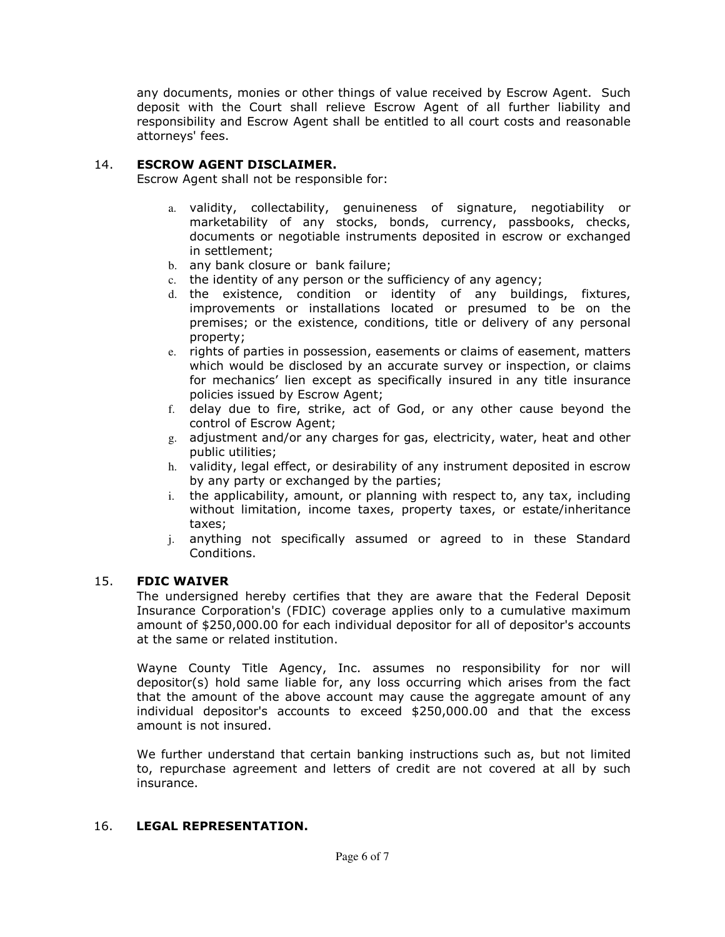any documents, monies or other things of value received by Escrow Agent. Such deposit with the Court shall relieve Escrow Agent of all further liability and responsibility and Escrow Agent shall be entitled to all court costs and reasonable attorneys' fees.

## 14. ESCROW AGENT DISCLAIMER.

Escrow Agent shall not be responsible for:

- a. validity, collectability, genuineness of signature, negotiability or marketability of any stocks, bonds, currency, passbooks, checks, documents or negotiable instruments deposited in escrow or exchanged in settlement;
- b. any bank closure or bank failure;
- c. the identity of any person or the sufficiency of any agency;
- d. the existence, condition or identity of any buildings, fixtures, improvements or installations located or presumed to be on the premises; or the existence, conditions, title or delivery of any personal property;
- e. rights of parties in possession, easements or claims of easement, matters which would be disclosed by an accurate survey or inspection, or claims for mechanics' lien except as specifically insured in any title insurance policies issued by Escrow Agent;
- f. delay due to fire, strike, act of God, or any other cause beyond the control of Escrow Agent;
- g. adjustment and/or any charges for gas, electricity, water, heat and other public utilities;
- h. validity, legal effect, or desirability of any instrument deposited in escrow by any party or exchanged by the parties;
- i. the applicability, amount, or planning with respect to, any tax, including without limitation, income taxes, property taxes, or estate/inheritance taxes;
- j. anything not specifically assumed or agreed to in these Standard Conditions.

# 15. FDIC WAIVER

 The undersigned hereby certifies that they are aware that the Federal Deposit Insurance Corporation's (FDIC) coverage applies only to a cumulative maximum amount of \$250,000.00 for each individual depositor for all of depositor's accounts at the same or related institution.

 Wayne County Title Agency, Inc. assumes no responsibility for nor will depositor(s) hold same liable for, any loss occurring which arises from the fact that the amount of the above account may cause the aggregate amount of any individual depositor's accounts to exceed \$250,000.00 and that the excess amount is not insured.

 We further understand that certain banking instructions such as, but not limited to, repurchase agreement and letters of credit are not covered at all by such insurance.

# 16. LEGAL REPRESENTATION.